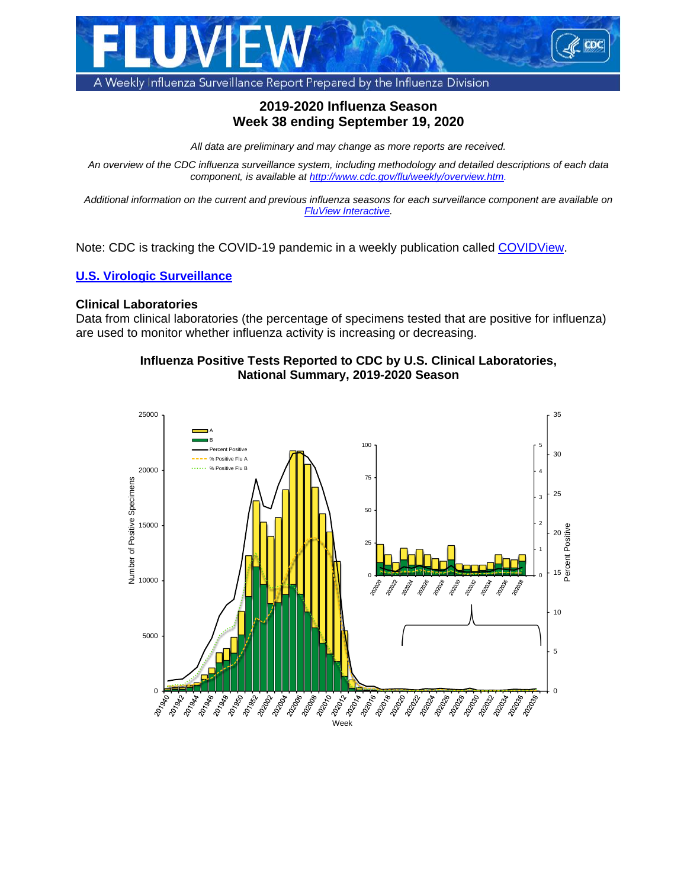

## **2019-2020 Influenza Season Week 38 ending September 19, 2020**

*All data are preliminary and may change as more reports are received.*

*An overview of the CDC influenza surveillance system, including methodology and detailed descriptions of each data component, is available at [http://www.cdc.gov/flu/weekly/overview.htm.](http://www.cdc.gov/flu/weekly/overview.htm)*

*Additional information on the current and previous influenza seasons for each surveillance component are available on [FluView Interactive.](https://www.cdc.gov/flu/weekly/fluviewinteractive.htm)*

Note: CDC is tracking the COVID-19 pandemic in a weekly publication called [COVIDView.](https://www.cdc.gov/coronavirus/2019-ncov/covid-data/covidview.html)

## **[U.S. Virologic Surveillance](https://www.cdc.gov/flu/weekly/overview.htm#anchor_1539281228772)**

### **Clinical Laboratories**

Data from clinical laboratories (the percentage of specimens tested that are positive for influenza) are used to monitor whether influenza activity is increasing or decreasing.

### **Influenza Positive Tests Reported to CDC by U.S. Clinical Laboratories, National Summary, 2019-2020 Season**

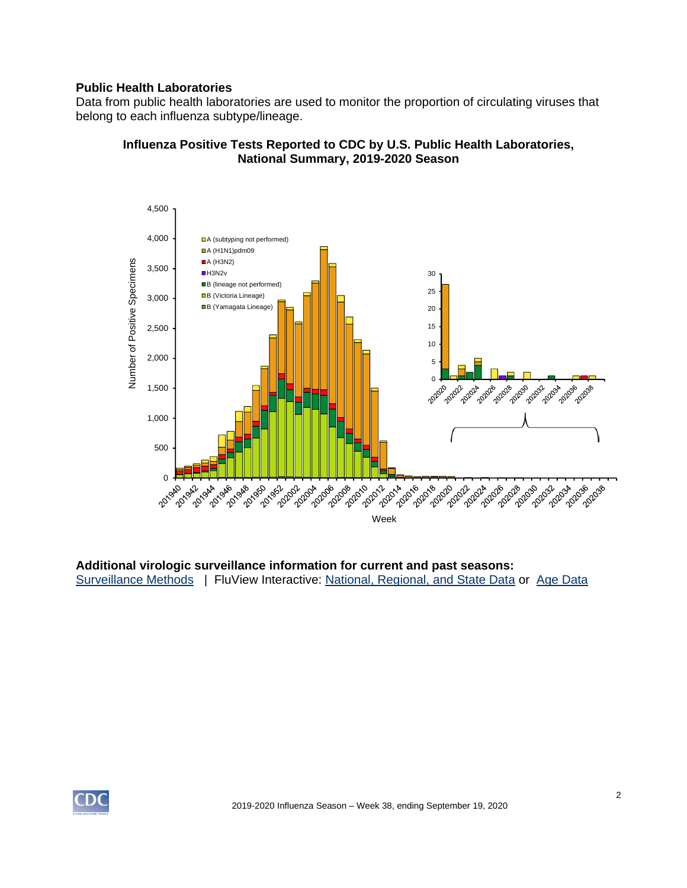## **Public Health Laboratories**

Data from public health laboratories are used to monitor the proportion of circulating viruses that belong to each influenza subtype/lineage.



### **Influenza Positive Tests Reported to CDC by U.S. Public Health Laboratories, National Summary, 2019-2020 Season**

**Additional virologic surveillance information for current and past seasons:** [Surveillance Methods](https://www.cdc.gov/flu/weekly/overview.htm#anchor_1539281228772) | FluView Interactive: [National, Regional, and State Data](https://gis.cdc.gov/grasp/fluview/fluportaldashboard.html) or [Age Data](https://gis.cdc.gov/grasp/fluview/flu_by_age_virus.html) 

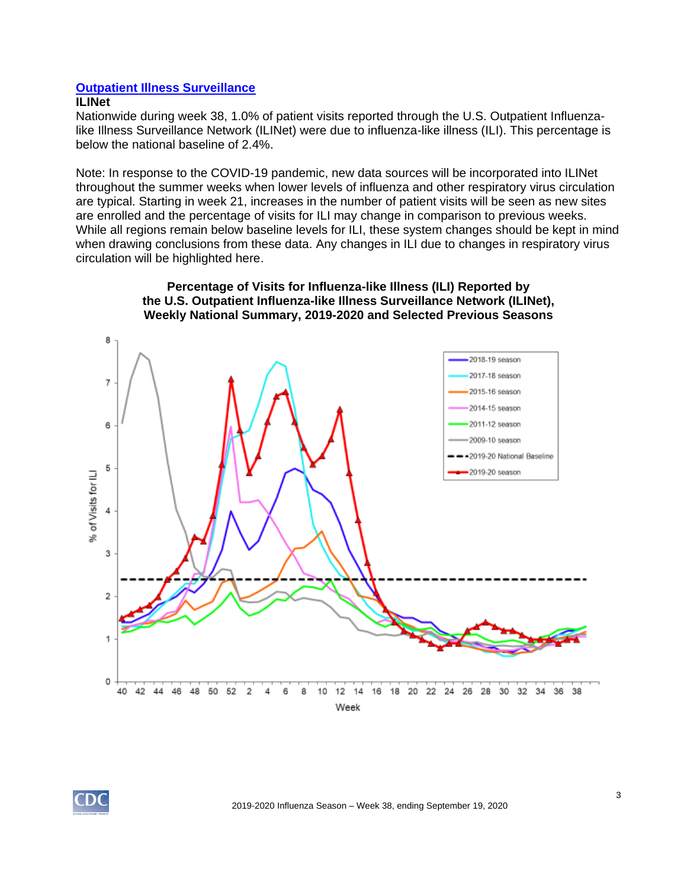## **[Outpatient Illness Surveillance](https://www.cdc.gov/flu/weekly/overview.htm#anchor_1539281266932)**

#### **ILINet**

Nationwide during week 38, 1.0% of patient visits reported through the U.S. Outpatient Influenzalike Illness Surveillance Network (ILINet) were due to influenza-like illness (ILI). This percentage is below the national baseline of 2.4%.

Note: In response to the COVID-19 pandemic, new data sources will be incorporated into ILINet throughout the summer weeks when lower levels of influenza and other respiratory virus circulation are typical. Starting in week 21, increases in the number of patient visits will be seen as new sites are enrolled and the percentage of visits for ILI may change in comparison to previous weeks. While all regions remain below baseline levels for ILI, these system changes should be kept in mind when drawing conclusions from these data. Any changes in ILI due to changes in respiratory virus circulation will be highlighted here.



### **Percentage of Visits for Influenza-like Illness (ILI) Reported by the U.S. Outpatient Influenza-like Illness Surveillance Network (ILINet), Weekly National Summary, 2019-2020 and Selected Previous Seasons**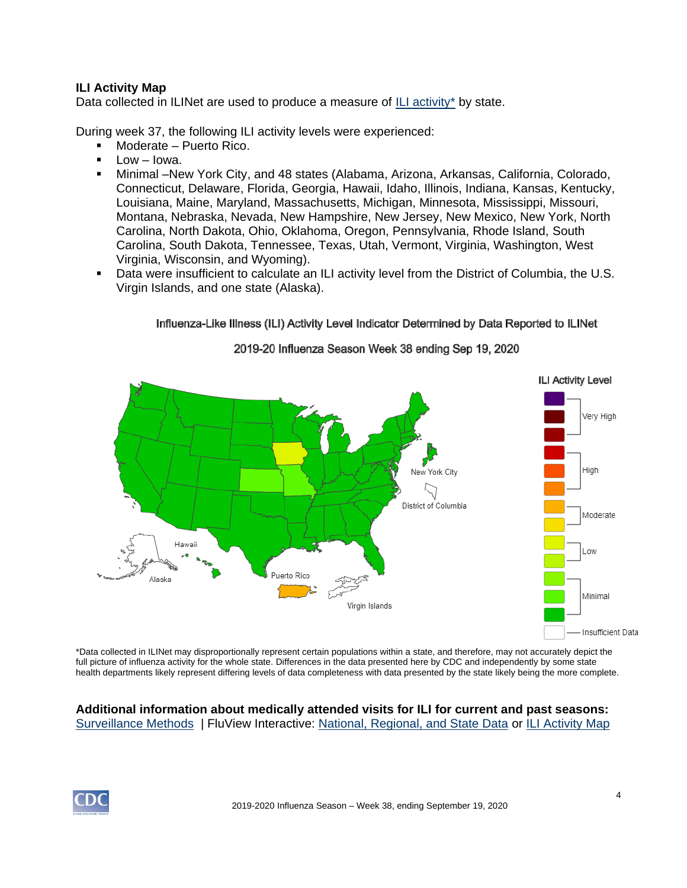## **ILI Activity Map**

Data collected in ILINet are used to produce a measure of [ILI activity\\*](https://www.cdc.gov/flu/weekly/overview.htm#anchor_1571167821424) by state.

During week 37, the following ILI activity levels were experienced:

- Moderate Puerto Rico.
- $Low Iowa$ .
- Minimal –New York City, and 48 states (Alabama, Arizona, Arkansas, California, Colorado, Connecticut, Delaware, Florida, Georgia, Hawaii, Idaho, Illinois, Indiana, Kansas, Kentucky, Louisiana, Maine, Maryland, Massachusetts, Michigan, Minnesota, Mississippi, Missouri, Montana, Nebraska, Nevada, New Hampshire, New Jersey, New Mexico, New York, North Carolina, North Dakota, Ohio, Oklahoma, Oregon, Pennsylvania, Rhode Island, South Carolina, South Dakota, Tennessee, Texas, Utah, Vermont, Virginia, Washington, West Virginia, Wisconsin, and Wyoming).
- Data were insufficient to calculate an ILI activity level from the District of Columbia, the U.S. Virgin Islands, and one state (Alaska).



#### Influenza-Like Illness (ILI) Activity Level Indicator Determined by Data Reported to ILINet

### 2019-20 Influenza Season Week 38 ending Sep 19, 2020

\*Data collected in ILINet may disproportionally represent certain populations within a state, and therefore, may not accurately depict the full picture of influenza activity for the whole state. Differences in the data presented here by CDC and independently by some state health departments likely represent differing levels of data completeness with data presented by the state likely being the more complete.

### **Additional information about medically attended visits for ILI for current and past seasons:** [Surveillance Methods](https://www.cdc.gov/flu/weekly/overview.htm#anchor_1539281266932) | FluView Interactive: [National, Regional, and State Data](https://gis.cdc.gov/grasp/fluview/fluportaldashboard.html) or [ILI Activity Map](https://gis.cdc.gov/grasp/fluview/main.html)

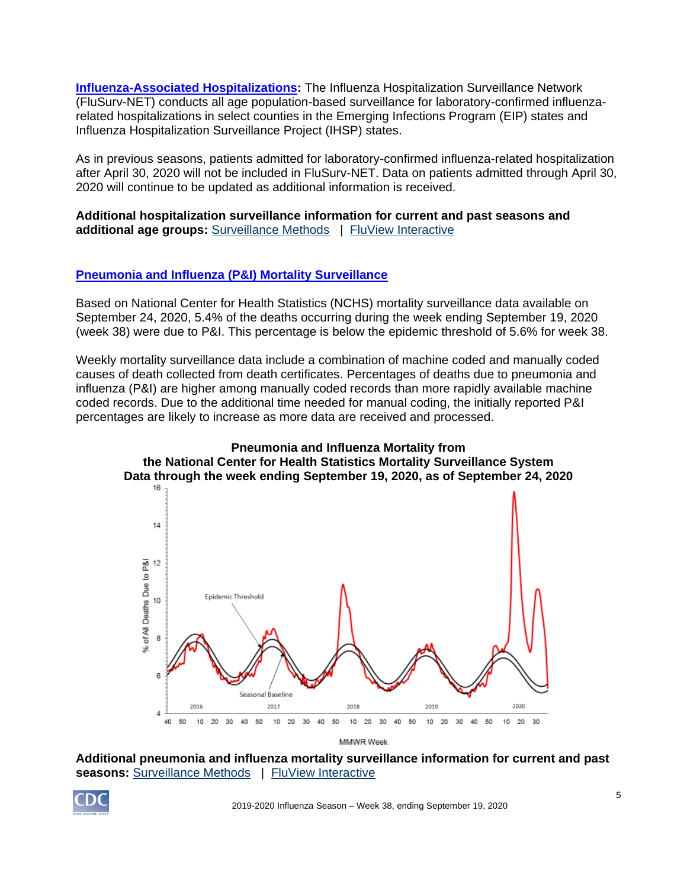**[Influenza-Associated Hospitalizations:](http://www.cdc.gov/flu/weekly/overview.htm#Hospitalization)** The Influenza Hospitalization Surveillance Network (FluSurv-NET) conducts all age population-based surveillance for laboratory-confirmed influenzarelated hospitalizations in select counties in the Emerging Infections Program (EIP) states and Influenza Hospitalization Surveillance Project (IHSP) states.

As in previous seasons, patients admitted for laboratory-confirmed influenza-related hospitalization after April 30, 2020 will not be included in FluSurv-NET. Data on patients admitted through April 30, 2020 will continue to be updated as additional information is received.

**Additional hospitalization surveillance information for current and past seasons and additional age groups:** [Surveillance Methods](https://www.cdc.gov/flu/weekly/overview.htm#Hospitalization) | [FluView Interactive](http://gis.cdc.gov/GRASP/Fluview/FluHospRates.html)

## **[Pneumonia and Influenza \(P&I\) Mortality Surveillance](https://www.cdc.gov/flu/weekly/overview.htm#anchor_1539281356004)**

Based on National Center for Health Statistics (NCHS) mortality surveillance data available on September 24, 2020, 5.4% of the deaths occurring during the week ending September 19, 2020 (week 38) were due to P&I. This percentage is below the epidemic threshold of 5.6% for week 38.

Weekly mortality surveillance data include a combination of machine coded and manually coded causes of death collected from death certificates. Percentages of deaths due to pneumonia and influenza (P&I) are higher among manually coded records than more rapidly available machine coded records. Due to the additional time needed for manual coding, the initially reported P&I percentages are likely to increase as more data are received and processed.



**Additional pneumonia and influenza mortality surveillance information for current and past seasons:** [Surveillance Methods](https://www.cdc.gov/flu/weekly/overview.htm#anchor_1539281356004) | [FluView Interactive](https://gis.cdc.gov/grasp/fluview/mortality.html)